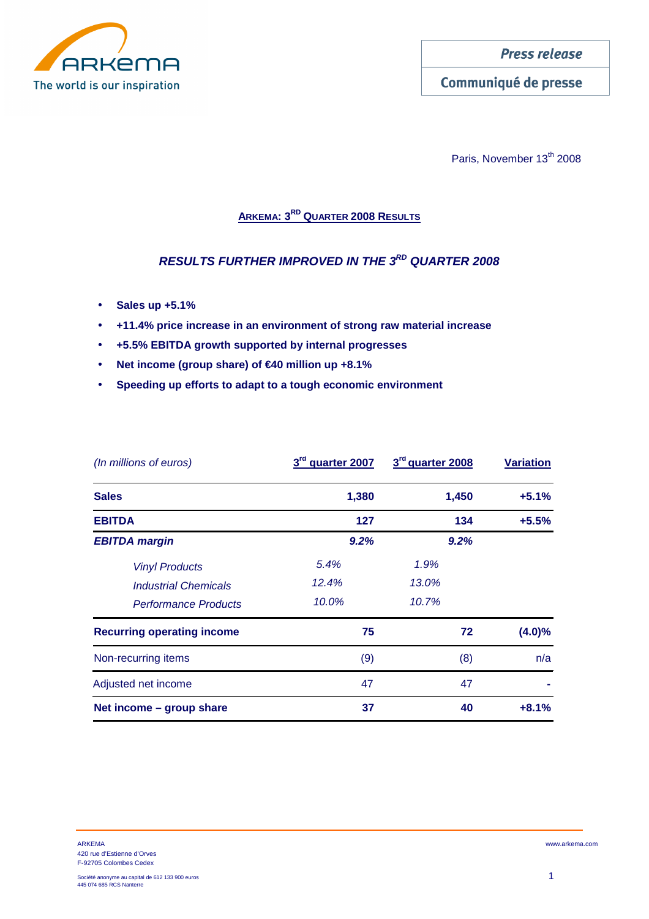

Communiqué de presse

Paris, November 13<sup>th</sup> 2008

# **ARKEMA: 3RD QUARTER 2008 RESULTS**

# **RESULTS FURTHER IMPROVED IN THE 3RD QUARTER 2008**

- **Sales up +5.1%**
- **+11.4% price increase in an environment of strong raw material increase**
- **+5.5% EBITDA growth supported by internal progresses**
- **Net income (group share) of €40 million up +8.1%**
- **Speeding up efforts to adapt to a tough economic environment**

| (In millions of euros)            | 3rd quarter 2007 | 3rd quarter 2008 | <b>Variation</b> |
|-----------------------------------|------------------|------------------|------------------|
| <b>Sales</b>                      | 1,380            | 1,450            | $+5.1%$          |
| <b>EBITDA</b>                     | 127              | 134              | $+5.5%$          |
| <b>EBITDA</b> margin              | 9.2%             | 9.2%             |                  |
| <b>Vinyl Products</b>             | 5.4%             | 1.9%             |                  |
| <b>Industrial Chemicals</b>       | 12.4%            | 13.0%            |                  |
| <b>Performance Products</b>       | 10.0%            | 10.7%            |                  |
| <b>Recurring operating income</b> | 75               | 72               | $(4.0)\%$        |
| Non-recurring items               | (9)              | (8)              | n/a              |
| Adjusted net income               | 47               | 47               |                  |
| Net income - group share          | 37               | 40               | $+8.1%$          |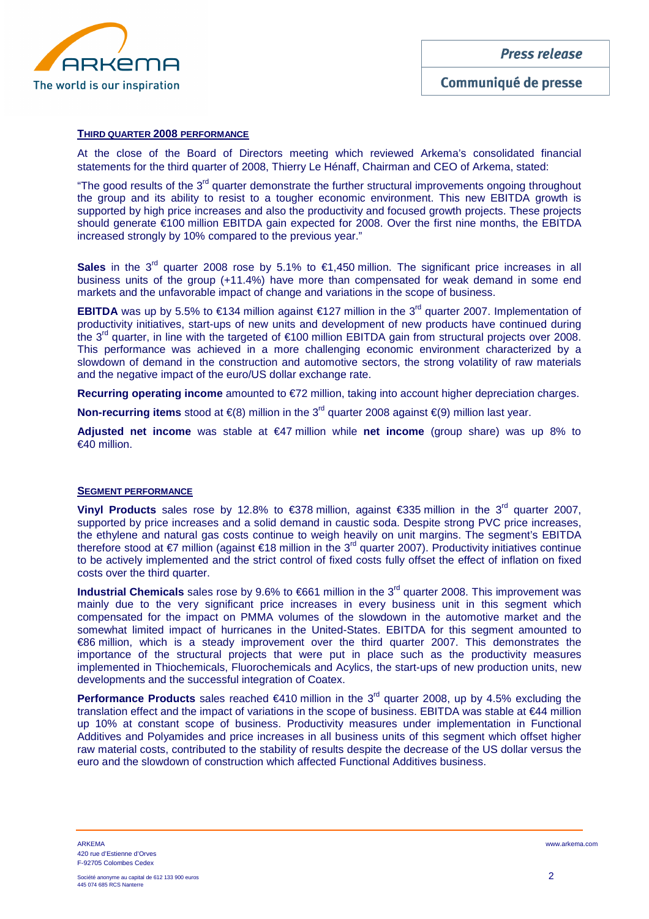

### **THIRD QUARTER 2008 PERFORMANCE**

At the close of the Board of Directors meeting which reviewed Arkema's consolidated financial statements for the third quarter of 2008, Thierry Le Hénaff, Chairman and CEO of Arkema, stated:

"The good results of the 3<sup>rd</sup> quarter demonstrate the further structural improvements ongoing throughout the group and its ability to resist to a tougher economic environment. This new EBITDA growth is supported by high price increases and also the productivity and focused growth projects. These projects should generate €100 million EBITDA gain expected for 2008. Over the first nine months, the EBITDA increased strongly by 10% compared to the previous year."

Sales in the  $3<sup>rd</sup>$  quarter 2008 rose by 5.1% to €1,450 million. The significant price increases in all business units of the group (+11.4%) have more than compensated for weak demand in some end markets and the unfavorable impact of change and variations in the scope of business.

**EBITDA** was up by 5.5% to €134 million against €127 million in the 3<sup>rd</sup> quarter 2007. Implementation of productivity initiatives, start-ups of new units and development of new products have continued during the 3<sup>rd</sup> quarter, in line with the targeted of  $\epsilon$ 100 million EBITDA gain from structural projects over 2008. This performance was achieved in a more challenging economic environment characterized by a slowdown of demand in the construction and automotive sectors, the strong volatility of raw materials and the negative impact of the euro/US dollar exchange rate.

**Recurring operating income** amounted to €72 million, taking into account higher depreciation charges.

**Non-recurring items** stood at €(8) million in the 3<sup>rd</sup> quarter 2008 against €(9) million last year.

**Adjusted net income** was stable at €47 million while **net income** (group share) was up 8% to €40 million.

### **SEGMENT PERFORMANCE**

**Vinyl Products** sales rose by 12.8% to €378 million, against €335 million in the 3<sup>rd</sup> quarter 2007, supported by price increases and a solid demand in caustic soda. Despite strong PVC price increases, the ethylene and natural gas costs continue to weigh heavily on unit margins. The segment's EBITDA therefore stood at €7 million (against €18 million in the 3<sup>rd</sup> quarter 2007). Productivity initiatives continue to be actively implemented and the strict control of fixed costs fully offset the effect of inflation on fixed costs over the third quarter.

**Industrial Chemicals** sales rose by 9.6% to €661 million in the 3<sup>rd</sup> quarter 2008. This improvement was mainly due to the very significant price increases in every business unit in this segment which compensated for the impact on PMMA volumes of the slowdown in the automotive market and the somewhat limited impact of hurricanes in the United-States. EBITDA for this segment amounted to €86 million, which is a steady improvement over the third quarter 2007. This demonstrates the importance of the structural projects that were put in place such as the productivity measures implemented in Thiochemicals, Fluorochemicals and Acylics, the start-ups of new production units, new developments and the successful integration of Coatex.

**Performance Products** sales reached €410 million in the  $3<sup>d</sup>$  quarter 2008, up by 4.5% excluding the translation effect and the impact of variations in the scope of business. EBITDA was stable at €44 million up 10% at constant scope of business. Productivity measures under implementation in Functional Additives and Polyamides and price increases in all business units of this segment which offset higher raw material costs, contributed to the stability of results despite the decrease of the US dollar versus the euro and the slowdown of construction which affected Functional Additives business.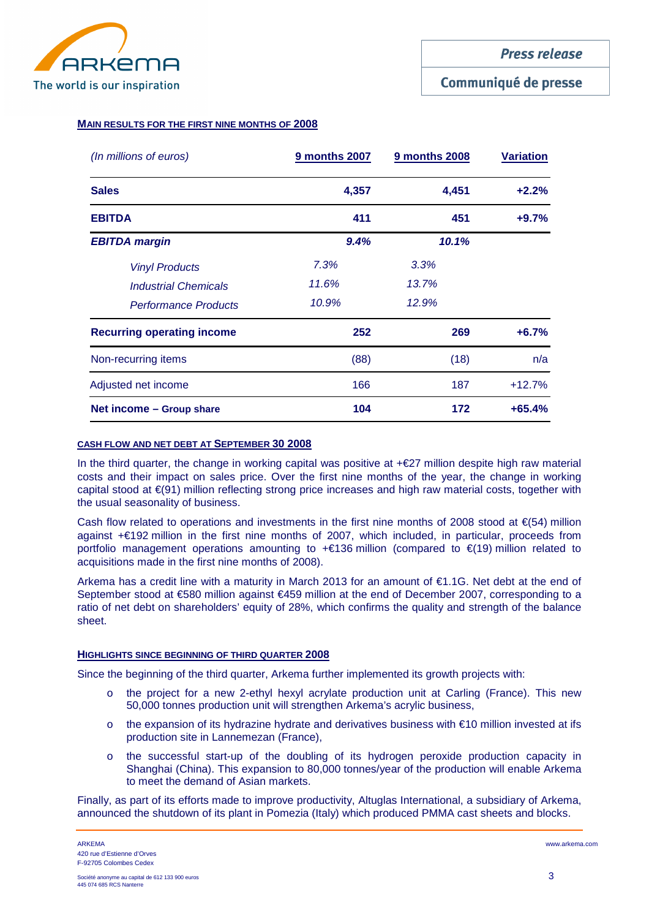

### **MAIN RESULTS FOR THE FIRST NINE MONTHS OF 2008**

| (In millions of euros)            | 9 months 2007 | <b>9 months 2008</b> | <b>Variation</b> |
|-----------------------------------|---------------|----------------------|------------------|
| <b>Sales</b>                      | 4,357         | 4,451                | $+2.2%$          |
| <b>EBITDA</b>                     | 411           | 451                  | $+9.7%$          |
| <b>EBITDA margin</b>              | 9.4%          | 10.1%                |                  |
| <b>Vinyl Products</b>             | 7.3%          | 3.3%                 |                  |
| <b>Industrial Chemicals</b>       | 11.6%         | 13.7%                |                  |
| <b>Performance Products</b>       | 10.9%         | 12.9%                |                  |
| <b>Recurring operating income</b> | 252           | 269                  | $+6.7%$          |
| Non-recurring items               | (88)          | (18)                 | n/a              |
| Adjusted net income               | 166           | 187                  | $+12.7%$         |
| Net income – Group share          | 104           | 172                  | $+65.4%$         |

### **CASH FLOW AND NET DEBT AT SEPTEMBER 30 2008**

In the third quarter, the change in working capital was positive at +€27 million despite high raw material costs and their impact on sales price. Over the first nine months of the year, the change in working capital stood at €(91) million reflecting strong price increases and high raw material costs, together with the usual seasonality of business.

Cash flow related to operations and investments in the first nine months of 2008 stood at  $\epsilon$ (54) million against +€192 million in the first nine months of 2007, which included, in particular, proceeds from portfolio management operations amounting to +€136 million (compared to €(19) million related to acquisitions made in the first nine months of 2008).

Arkema has a credit line with a maturity in March 2013 for an amount of €1.1G. Net debt at the end of September stood at €580 million against €459 million at the end of December 2007, corresponding to a ratio of net debt on shareholders' equity of 28%, which confirms the quality and strength of the balance sheet.

### **HIGHLIGHTS SINCE BEGINNING OF THIRD QUARTER 2008**

Since the beginning of the third quarter, Arkema further implemented its growth projects with:

- o the project for a new 2-ethyl hexyl acrylate production unit at Carling (France). This new 50,000 tonnes production unit will strengthen Arkema's acrylic business,
- o the expansion of its hydrazine hydrate and derivatives business with €10 million invested at ifs production site in Lannemezan (France),
- o the successful start-up of the doubling of its hydrogen peroxide production capacity in Shanghai (China). This expansion to 80,000 tonnes/year of the production will enable Arkema to meet the demand of Asian markets.

Finally, as part of its efforts made to improve productivity, Altuglas International, a subsidiary of Arkema, announced the shutdown of its plant in Pomezia (Italy) which produced PMMA cast sheets and blocks.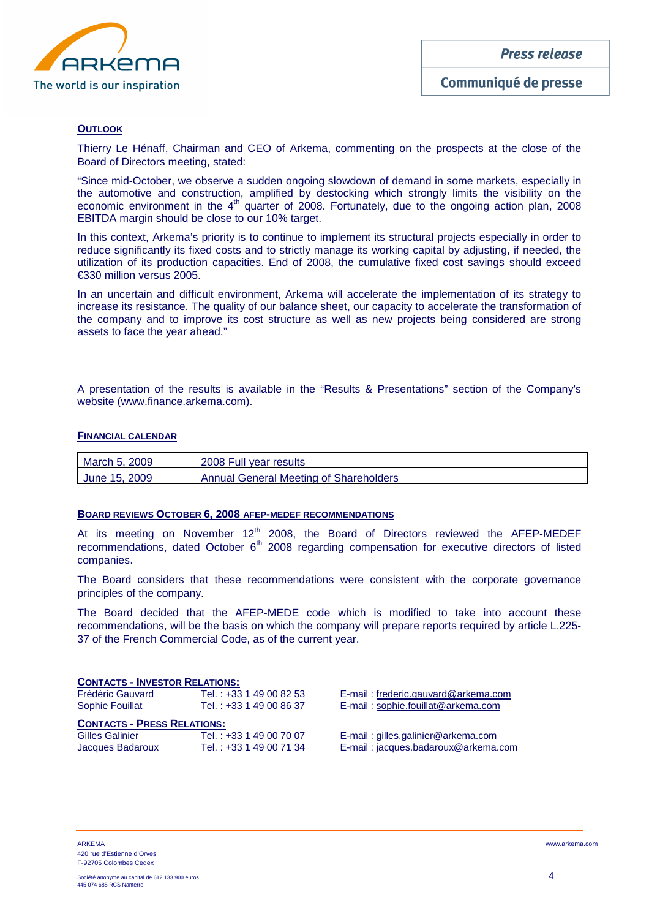

### **OUTLOOK**

Thierry Le Hénaff, Chairman and CEO of Arkema, commenting on the prospects at the close of the Board of Directors meeting, stated:

"Since mid-October, we observe a sudden ongoing slowdown of demand in some markets, especially in the automotive and construction, amplified by destocking which strongly limits the visibility on the economic environment in the 4<sup>th</sup> quarter of 2008. Fortunately, due to the ongoing action plan, 2008 EBITDA margin should be close to our 10% target.

In this context, Arkema's priority is to continue to implement its structural projects especially in order to reduce significantly its fixed costs and to strictly manage its working capital by adjusting, if needed, the utilization of its production capacities. End of 2008, the cumulative fixed cost savings should exceed €330 million versus 2005.

In an uncertain and difficult environment, Arkema will accelerate the implementation of its strategy to increase its resistance. The quality of our balance sheet, our capacity to accelerate the transformation of the company and to improve its cost structure as well as new projects being considered are strong assets to face the year ahead."

A presentation of the results is available in the "Results & Presentations" section of the Company's website (www.finance.arkema.com).

### **FINANCIAL CALENDAR**

| March 5, 2009 | 2008 Full year results                        |
|---------------|-----------------------------------------------|
| June 15, 2009 | <b>Annual General Meeting of Shareholders</b> |

### **BOARD REVIEWS OCTOBER 6, 2008 AFEP-MEDEF RECOMMENDATIONS**

At its meeting on November  $12<sup>th</sup>$  2008, the Board of Directors reviewed the AFEP-MEDEF recommendations, dated October 6<sup>th</sup> 2008 regarding compensation for executive directors of listed companies.

The Board considers that these recommendations were consistent with the corporate governance principles of the company.

The Board decided that the AFEP-MEDE code which is modified to take into account these recommendations, will be the basis on which the company will prepare reports required by article L.225- 37 of the French Commercial Code, as of the current year.

### **CONTACTS - INVESTOR RELATIONS:**

| Frédéric Gauvard       | Tel. : +33 1 49 00 82 53 l |
|------------------------|----------------------------|
| <b>Sophie Fouillat</b> | Tel. : +33 1 49 00 86 37   |

E-mail : frederic.gauvard@arkema.com E-mail: sophie.fouillat@arkema.com

### **CONTACTS - PRESS RELATIONS:**

| <b>Gilles Galinier</b> | Tel.: +33 1 49 00 70 07 |
|------------------------|-------------------------|
| Jacques Badaroux       | Tel.: +33 1 49 00 71 34 |

E-mail : gilles.galinier@arkema.com E-mail : jacques.badaroux@arkema.com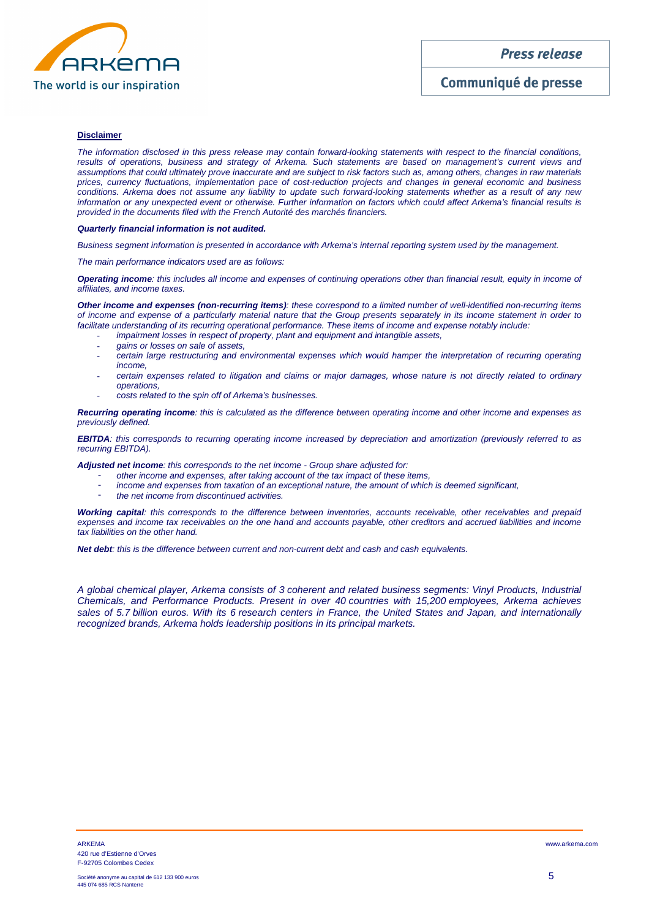

### **Disclaimer**

The information disclosed in this press release may contain forward-looking statements with respect to the financial conditions, results of operations, business and strategy of Arkema. Such statements are based on management's current views and assumptions that could ultimately prove inaccurate and are subject to risk factors such as, among others, changes in raw materials prices, currency fluctuations, implementation pace of cost-reduction projects and changes in general economic and business conditions. Arkema does not assume any liability to update such forward-looking statements whether as a result of any new information or any unexpected event or otherwise. Further information on factors which could affect Arkema's financial results is provided in the documents filed with the French Autorité des marchés financiers.

### **Quarterly financial information is not audited.**

Business segment information is presented in accordance with Arkema's internal reporting system used by the management.

The main performance indicators used are as follows:

**Operating income**: this includes all income and expenses of continuing operations other than financial result, equity in income of affiliates, and income taxes.

**Other income and expenses (non-recurring items)**: these correspond to a limited number of well-identified non-recurring items of income and expense of a particularly material nature that the Group presents separately in its income statement in order to facilitate understanding of its recurring operational performance. These items of income and expense notably include:

- impairment losses in respect of property, plant and equipment and intangible assets,
- gains or losses on sale of assets,
- certain large restructuring and environmental expenses which would hamper the interpretation of recurring operating income,
- certain expenses related to litigation and claims or major damages, whose nature is not directly related to ordinary operations,
- costs related to the spin off of Arkema's businesses.

**Recurring operating income**: this is calculated as the difference between operating income and other income and expenses as previously defined.

**EBITDA**: this corresponds to recurring operating income increased by depreciation and amortization (previously referred to as recurring EBITDA).

**Adjusted net income**: this corresponds to the net income - Group share adjusted for:

- other income and expenses, after taking account of the tax impact of these items,
- income and expenses from taxation of an exceptional nature, the amount of which is deemed significant,
- the net income from discontinued activities.

**Working capital**: this corresponds to the difference between inventories, accounts receivable, other receivables and prepaid expenses and income tax receivables on the one hand and accounts payable, other creditors and accrued liabilities and income tax liabilities on the other hand.

**Net debt**: this is the difference between current and non-current debt and cash and cash equivalents.

A global chemical player, Arkema consists of 3 coherent and related business segments: Vinyl Products, Industrial Chemicals, and Performance Products. Present in over 40 countries with 15,200 employees, Arkema achieves sales of 5.7 billion euros. With its 6 research centers in France, the United States and Japan, and internationally recognized brands, Arkema holds leadership positions in its principal markets.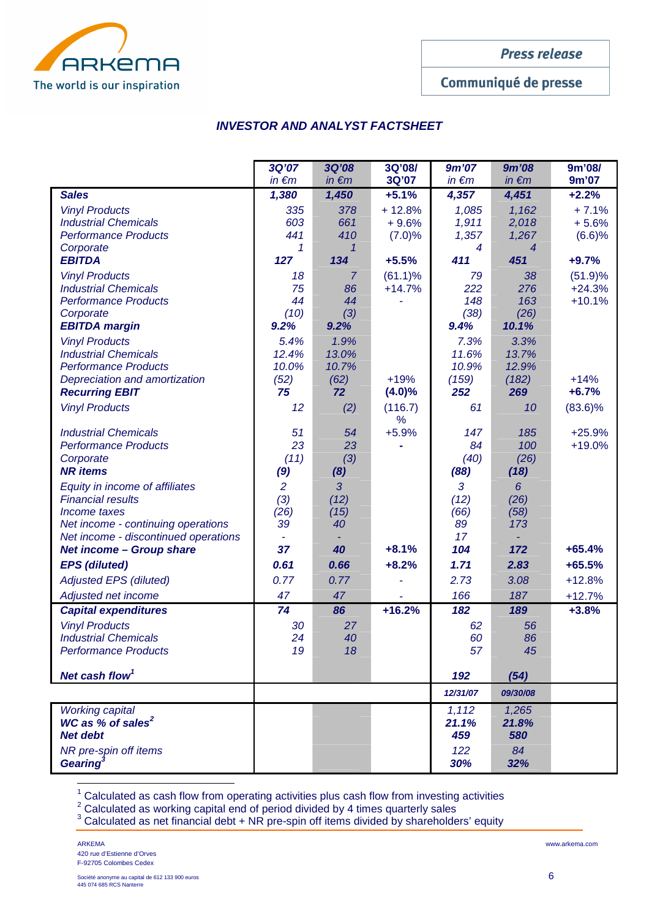

Communiqué de presse

# **INVESTOR AND ANALYST FACTSHEET**

|                                                                            | 3Q'07          | 3Q'08          | 3Q'08/     | 9m'07         | <b>9m'08</b>   | 9m'08/     |
|----------------------------------------------------------------------------|----------------|----------------|------------|---------------|----------------|------------|
|                                                                            | $in \in m$     | $in \in m$     | 3Q'07      | $in \in m$    | $in \in m$     | 9m'07      |
| <b>Sales</b>                                                               | 1,380          | 1,450          | $+5.1%$    | 4,357         | 4,451          | $+2.2\%$   |
| <b>Vinyl Products</b>                                                      | 335            | 378            | $+12.8%$   | 1,085         | 1,162          | $+7.1%$    |
| <b>Industrial Chemicals</b>                                                | 603            | 661            | $+9.6%$    | 1,911         | 2,018          | $+5.6%$    |
| <b>Performance Products</b>                                                | 441            | 410            | (7.0)%     | 1,357         | 1,267          | (6.6)%     |
| Corporate                                                                  | 1              | 1              |            | 4             | $\overline{4}$ |            |
| <b>EBITDA</b>                                                              | 127            | 134            | $+5.5%$    | 411           | 451            | $+9.7%$    |
| <b>Vinyl Products</b>                                                      | 18             | $\overline{7}$ | $(61.1)\%$ | 79            | 38             | (51.9)%    |
| <b>Industrial Chemicals</b>                                                | 75             | 86             | $+14.7%$   | 222           | 276            | $+24.3%$   |
| <b>Performance Products</b>                                                | 44             | 44             |            | 148           | 163            | $+10.1%$   |
| Corporate<br><b>EBITDA margin</b>                                          | (10)<br>9.2%   | (3)<br>9.2%    |            | (38)<br>9.4%  | (26)<br>10.1%  |            |
|                                                                            |                |                |            |               |                |            |
| <b>Vinyl Products</b><br><b>Industrial Chemicals</b>                       | 5.4%<br>12.4%  | 1.9%<br>13.0%  |            | 7.3%<br>11.6% | 3.3%<br>13.7%  |            |
| <b>Performance Products</b>                                                | 10.0%          | 10.7%          |            | 10.9%         | 12.9%          |            |
| Depreciation and amortization                                              | (52)           | (62)           | $+19%$     | (159)         | (182)          | $+14%$     |
| <b>Recurring EBIT</b>                                                      | 75             | 72             | $(4.0)\%$  | 252           | 269            | $+6.7%$    |
| <b>Vinyl Products</b>                                                      | 12             | (2)            | (116.7)    | 61            | 10             | $(83.6)\%$ |
|                                                                            |                |                | %          |               |                |            |
| <b>Industrial Chemicals</b>                                                | 51             | 54             | $+5.9%$    | 147           | 185            | $+25.9%$   |
| <b>Performance Products</b>                                                | 23             | 23             |            | 84            | 100            | $+19.0%$   |
| Corporate                                                                  | (11)           | (3)            |            | (40)          | (26)           |            |
| <b>NR</b> items                                                            | (9)            | (8)            |            | (88)          | (18)           |            |
| Equity in income of affiliates                                             | $\overline{2}$ | 3              |            | 3             | 6              |            |
| <b>Financial results</b>                                                   | (3)            | (12)           |            | (12)          | (26)           |            |
| Income taxes                                                               | (26)           | (15)           |            | (66)          | (58)           |            |
| Net income - continuing operations<br>Net income - discontinued operations | 39             | 40             |            | 89<br>17      | 173            |            |
| <b>Net income - Group share</b>                                            | 37             | 40             | $+8.1%$    | 104           | 172            | $+65.4%$   |
| <b>EPS</b> (diluted)                                                       | 0.61           | 0.66           | $+8.2%$    | 1.71          | 2.83           | $+65.5%$   |
| <b>Adjusted EPS (diluted)</b>                                              | 0.77           | 0.77           |            | 2.73          | 3.08           | $+12.8%$   |
| Adjusted net income                                                        | 47             | 47             |            | 166           | 187            | $+12.7%$   |
| <b>Capital expenditures</b>                                                | 74             | 86             | $+16.2%$   | 182           | 189            | $+3.8%$    |
| <b>Vinyl Products</b>                                                      | 30             | 27             |            | 62            | 56             |            |
| <b>Industrial Chemicals</b>                                                | 24             | 40             |            | 60            | 86             |            |
| <b>Performance Products</b>                                                | 19             | 18             |            | 57            | 45             |            |
|                                                                            |                |                |            |               |                |            |
| Net cash flow <sup>1</sup>                                                 |                |                |            | 192           | (54)           |            |
|                                                                            |                |                |            | 12/31/07      | 09/30/08       |            |
| <b>Working capital</b>                                                     |                |                |            | 1,112         | 1,265          |            |
| WC as % of sales <sup>2</sup>                                              |                |                |            | 21.1%         | 21.8%          |            |
| <b>Net debt</b>                                                            |                |                |            | 459           | 580            |            |
| NR pre-spin off items                                                      |                |                |            | 122           | 84             |            |
| Gearing <sup>3</sup>                                                       |                |                |            | 30%           | 32%            |            |

 $^1$  Calculated as cash flow from operating activities plus cash flow from investing activities<br> $^2$  Calculated as working capital end of period divided by 4 times quarterly sales<br> $^3$  Calculated as net financial debt + N

ׇ֚֬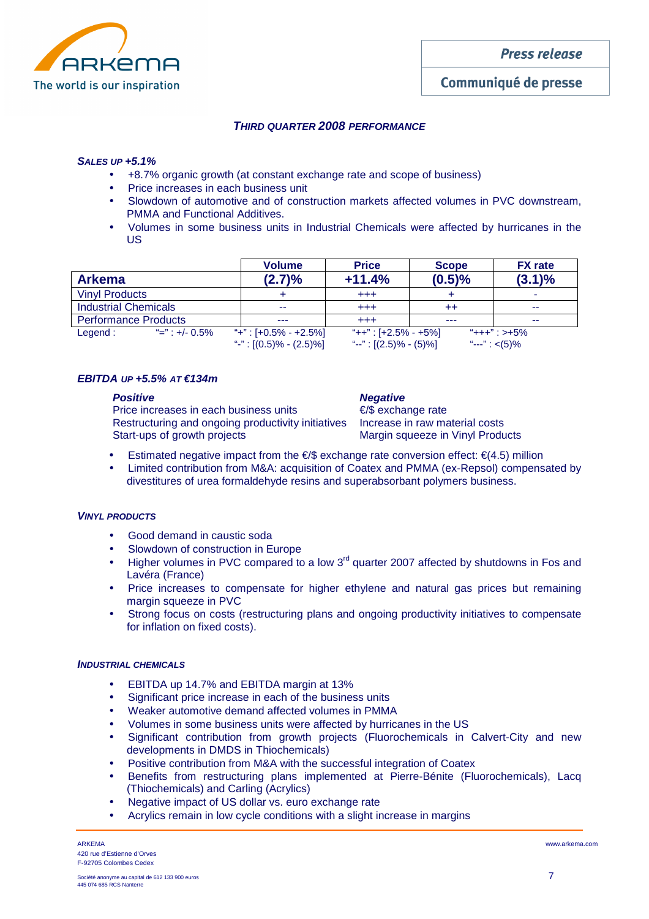

# **THIRD QUARTER 2008 PERFORMANCE**

### **SALES UP +5.1%**

- +8.7% organic growth (at constant exchange rate and scope of business)
- Price increases in each business unit
- Slowdown of automotive and of construction markets affected volumes in PVC downstream, PMMA and Functional Additives.
- Volumes in some business units in Industrial Chemicals were affected by hurricanes in the US

|                             |                             | <b>Volume</b>              | <b>Price</b>              | <b>Scope</b>     | <b>FX</b> rate    |
|-----------------------------|-----------------------------|----------------------------|---------------------------|------------------|-------------------|
| <b>Arkema</b>               |                             | (2.7)%                     | $+11.4%$                  | (0.5)%           | $(3.1)\%$         |
| <b>Vinyl Products</b>       |                             |                            | $^{+++}$                  |                  | -                 |
| <b>Industrial Chemicals</b> |                             | --                         | $^{+++}$                  | $^{\mathrm{++}}$ | --                |
| <b>Performance Products</b> |                             |                            | $^{+++}$                  | ---              | --                |
| Legend:                     | $\frac{4}{2}$ =" : +/- 0.5% | "+": $[+0.5\% - +2.5\%]$   | "++" : [+2.5% - +5%]      |                  | $"+++"$ : >+5%    |
|                             |                             | "-": $[(0.5)\% - (2.5)\%]$ | "--": $[(2.5)\% - (5)\%]$ |                  | "---": $\lt(5)\%$ |

# $E$ **BITDA UP**  $+5.5%$   $AT \tL 134m$

### **Positive Contract Contract Contract Contract Contract Contract Contract Contract Contract Contract Contract Contract Contract Contract Contract Contract Contract Contract Contract Contract Contract Contract Contract Contr**

Price increases in each business units **€/\$** exchange rate Restructuring and ongoing productivity initiatives Increase in raw material costs Start-ups of growth projects Margin squeeze in Vinyl Products

- Estimated negative impact from the  $\epsilon/\$  exchange rate conversion effect:  $\epsilon$ (4.5) million
- Limited contribution from M&A: acquisition of Coatex and PMMA (ex-Repsol) compensated by divestitures of urea formaldehyde resins and superabsorbant polymers business.

# **VINYL PRODUCTS**

- Good demand in caustic soda
- Slowdown of construction in Europe
- Higher volumes in PVC compared to a low  $3<sup>rd</sup>$  quarter 2007 affected by shutdowns in Fos and Lavéra (France)
- Price increases to compensate for higher ethylene and natural gas prices but remaining margin squeeze in PVC
- Strong focus on costs (restructuring plans and ongoing productivity initiatives to compensate for inflation on fixed costs).

### **INDUSTRIAL CHEMICALS**

- EBITDA up 14.7% and EBITDA margin at 13%
- Significant price increase in each of the business units
- Weaker automotive demand affected volumes in PMMA
- Volumes in some business units were affected by hurricanes in the US
- Significant contribution from growth projects (Fluorochemicals in Calvert-City and new developments in DMDS in Thiochemicals)
- Positive contribution from M&A with the successful integration of Coatex
- Benefits from restructuring plans implemented at Pierre-Bénite (Fluorochemicals), Lacq (Thiochemicals) and Carling (Acrylics)
- Negative impact of US dollar vs. euro exchange rate
- Acrylics remain in low cycle conditions with a slight increase in margins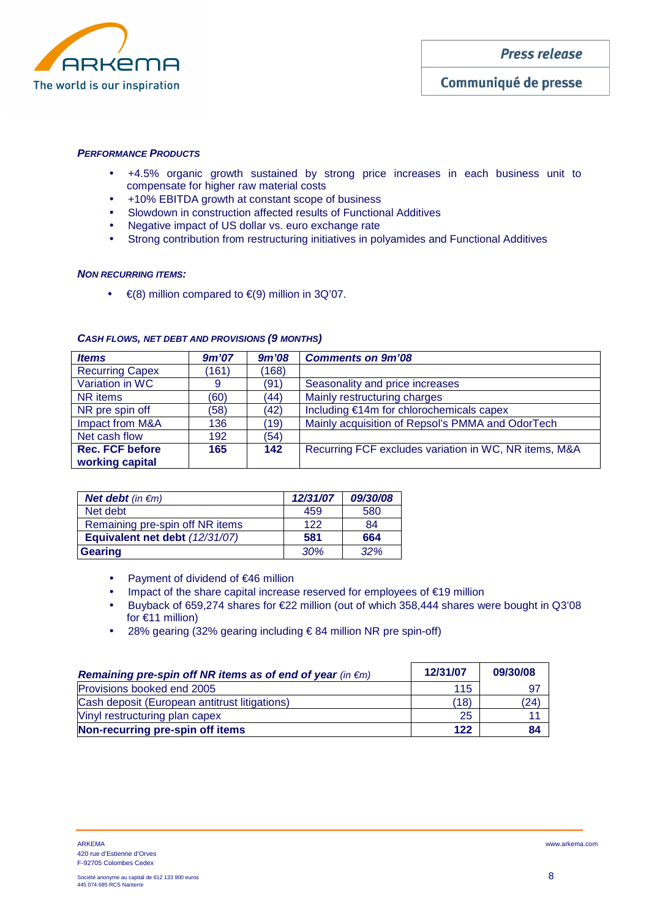

### **PERFORMANCE PRODUCTS**

- +4.5% organic growth sustained by strong price increases in each business unit to compensate for higher raw material costs
- +10% EBITDA growth at constant scope of business
- Slowdown in construction affected results of Functional Additives
- Negative impact of US dollar vs. euro exchange rate
- Strong contribution from restructuring initiatives in polyamides and Functional Additives

### **NON RECURRING ITEMS:**

•  $\in$  (8) million compared to  $\in$  (9) million in 3Q'07.

| <b>Items</b>           | 9m'07 | 9m'08 | <b>Comments on 9m'08</b>                              |
|------------------------|-------|-------|-------------------------------------------------------|
| <b>Recurring Capex</b> | (161) | (168) |                                                       |
| Variation in WC        | 9     | (91)  | Seasonality and price increases                       |
| NR items               | (60)  | (44)  | Mainly restructuring charges                          |
| NR pre spin off        | (58)  | (42)  | Including €14m for chlorochemicals capex              |
| Impact from M&A        | 136   | (19)  | Mainly acquisition of Repsol's PMMA and OdorTech      |
| Net cash flow          | 192   | (54)  |                                                       |
| <b>Rec. FCF before</b> | 165   | 142   | Recurring FCF excludes variation in WC, NR items, M&A |
| working capital        |       |       |                                                       |

### **CASH FLOWS, NET DEBT AND PROVISIONS (9 MONTHS)**

| <b>Net debt</b> (in $\notin$ m) | 12/31/07 | 09/30/08 |
|---------------------------------|----------|----------|
| Net debt                        | 459      | 580      |
| Remaining pre-spin off NR items | 122      | 84       |
| Equivalent net debt (12/31/07)  | 581      | 664      |
| <b>Gearing</b>                  | 30%      | $.32\%$  |

- Payment of dividend of €46 million
- Impact of the share capital increase reserved for employees of €19 million
- Buyback of 659,274 shares for €22 million (out of which 358,444 shares were bought in Q3'08 for €11 million)
- 28% gearing (32% gearing including  $\epsilon$  84 million NR pre spin-off)

| Remaining pre-spin off NR items as of end of year (in $\epsilon$ m) | 12/31/07 | 09/30/08 |
|---------------------------------------------------------------------|----------|----------|
| Provisions booked end 2005                                          | 115      |          |
| Cash deposit (European antitrust litigations)                       | (18)     | (24)     |
| Vinyl restructuring plan capex                                      | 25       |          |
| Non-recurring pre-spin off items                                    | 122      | 84       |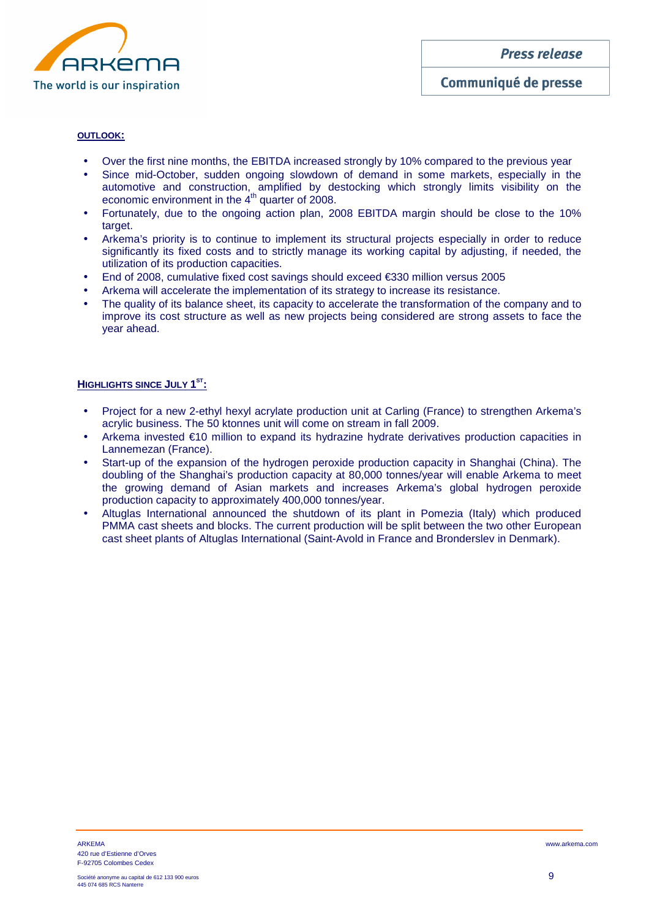

### **OUTLOOK:**

- Over the first nine months, the EBITDA increased strongly by 10% compared to the previous year
- Since mid-October, sudden ongoing slowdown of demand in some markets, especially in the automotive and construction, amplified by destocking which strongly limits visibility on the economic environment in the 4<sup>th</sup> quarter of 2008.
- Fortunately, due to the ongoing action plan, 2008 EBITDA margin should be close to the 10% target.
- Arkema's priority is to continue to implement its structural projects especially in order to reduce significantly its fixed costs and to strictly manage its working capital by adjusting, if needed, the utilization of its production capacities.
- End of 2008, cumulative fixed cost savings should exceed €330 million versus 2005
- Arkema will accelerate the implementation of its strategy to increase its resistance.
- The quality of its balance sheet, its capacity to accelerate the transformation of the company and to improve its cost structure as well as new projects being considered are strong assets to face the year ahead.

### **HIGHLIGHTS SINCE JULY 1 ST:**

- Project for a new 2-ethyl hexyl acrylate production unit at Carling (France) to strengthen Arkema's acrylic business. The 50 ktonnes unit will come on stream in fall 2009.
- Arkema invested €10 million to expand its hydrazine hydrate derivatives production capacities in Lannemezan (France).
- Start-up of the expansion of the hydrogen peroxide production capacity in Shanghai (China). The doubling of the Shanghai's production capacity at 80,000 tonnes/year will enable Arkema to meet the growing demand of Asian markets and increases Arkema's global hydrogen peroxide production capacity to approximately 400,000 tonnes/year.
- Altuglas International announced the shutdown of its plant in Pomezia (Italy) which produced PMMA cast sheets and blocks. The current production will be split between the two other European cast sheet plants of Altuglas International (Saint-Avold in France and Bronderslev in Denmark).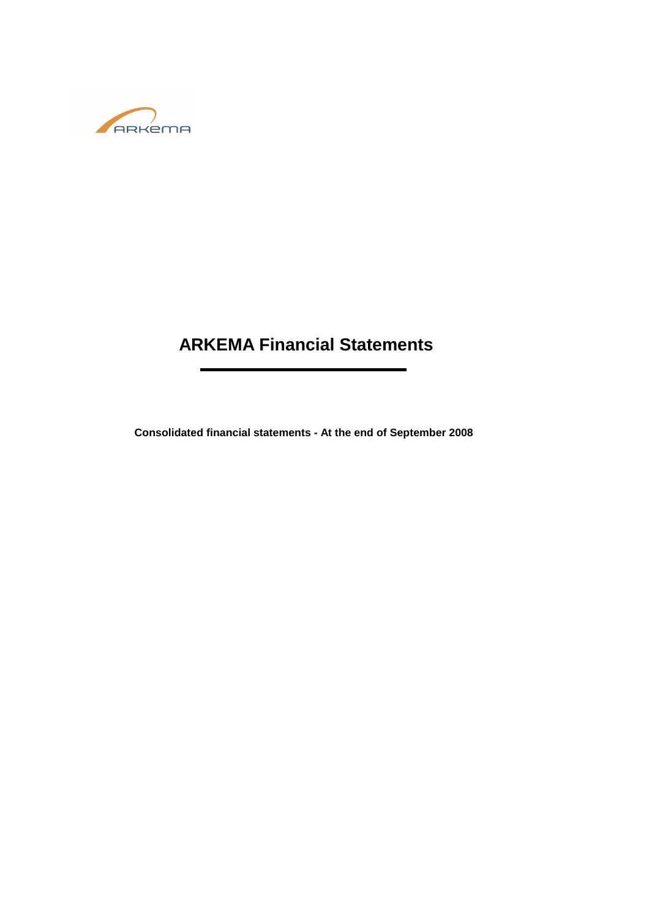

# **ARKEMA Financial Statements**

**Consolidated financial statements - At the end of September 2008**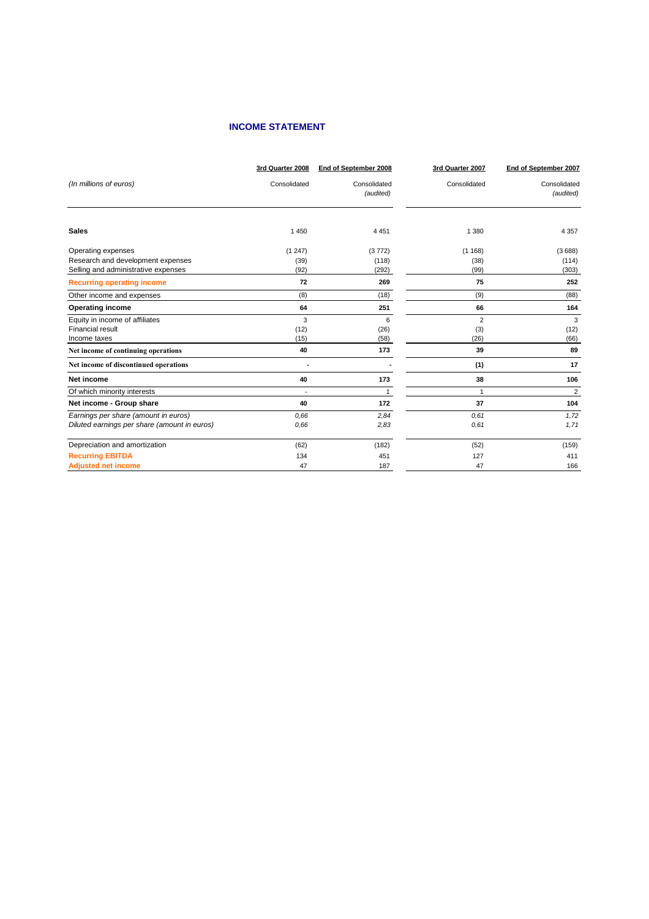# **INCOME STATEMENT**

| (In millions of euros)<br>Consolidated<br>Consolidated<br>Consolidated<br>Consolidated<br>(audited)<br>(audited)<br><b>Sales</b><br>1 4 5 0<br>1 3 8 0<br>4 4 5 1<br>4 3 5 7<br>Operating expenses<br>(1247)<br>(1168)<br>(3772)<br>(3688)<br>Research and development expenses<br>(118)<br>(39)<br>(38)<br>(114)<br>Selling and administrative expenses<br>(92)<br>(99)<br>(303)<br>(292)<br>252<br>72<br>269<br>75<br><b>Recurring operating income</b><br>Other income and expenses<br>(9)<br>(8)<br>(18)<br>(88)<br>164<br><b>Operating income</b><br>251<br>66<br>64<br>Equity in income of affiliates<br>3<br>$\overline{2}$<br>3<br>6<br>Financial result<br>(12)<br>(12)<br>(26)<br>(3)<br>Income taxes<br>(15)<br>(26)<br>(66)<br>(58)<br>39<br>40<br>173<br>89<br>Net income of continuing operations<br>Net income of discontinued operations<br>(1)<br>17<br>٠<br>173<br>38<br>106<br>Net income<br>40<br>$\overline{2}$<br>Of which minority interests<br>$\mathbf{1}$<br>$\mathbf{1}$<br>Net income - Group share<br>172<br>104<br>37<br>40<br>Earnings per share (amount in euros)<br>0.66<br>0.61<br>1,72<br>2,84<br>Diluted earnings per share (amount in euros)<br>1,71<br>0.66<br>2,83<br>0.61<br>Depreciation and amortization<br>(159)<br>(62)<br>(182)<br>(52)<br><b>Recurring EBITDA</b><br>134<br>451<br>127<br>411<br><b>Adjusted net income</b><br>47<br>187<br>47<br>166 | 3rd Quarter 2008 | End of September 2008 | 3rd Quarter 2007 | End of September 2007 |
|-----------------------------------------------------------------------------------------------------------------------------------------------------------------------------------------------------------------------------------------------------------------------------------------------------------------------------------------------------------------------------------------------------------------------------------------------------------------------------------------------------------------------------------------------------------------------------------------------------------------------------------------------------------------------------------------------------------------------------------------------------------------------------------------------------------------------------------------------------------------------------------------------------------------------------------------------------------------------------------------------------------------------------------------------------------------------------------------------------------------------------------------------------------------------------------------------------------------------------------------------------------------------------------------------------------------------------------------------------------------------------------------------------|------------------|-----------------------|------------------|-----------------------|
|                                                                                                                                                                                                                                                                                                                                                                                                                                                                                                                                                                                                                                                                                                                                                                                                                                                                                                                                                                                                                                                                                                                                                                                                                                                                                                                                                                                                     |                  |                       |                  |                       |
|                                                                                                                                                                                                                                                                                                                                                                                                                                                                                                                                                                                                                                                                                                                                                                                                                                                                                                                                                                                                                                                                                                                                                                                                                                                                                                                                                                                                     |                  |                       |                  |                       |
|                                                                                                                                                                                                                                                                                                                                                                                                                                                                                                                                                                                                                                                                                                                                                                                                                                                                                                                                                                                                                                                                                                                                                                                                                                                                                                                                                                                                     |                  |                       |                  |                       |
|                                                                                                                                                                                                                                                                                                                                                                                                                                                                                                                                                                                                                                                                                                                                                                                                                                                                                                                                                                                                                                                                                                                                                                                                                                                                                                                                                                                                     |                  |                       |                  |                       |
|                                                                                                                                                                                                                                                                                                                                                                                                                                                                                                                                                                                                                                                                                                                                                                                                                                                                                                                                                                                                                                                                                                                                                                                                                                                                                                                                                                                                     |                  |                       |                  |                       |
|                                                                                                                                                                                                                                                                                                                                                                                                                                                                                                                                                                                                                                                                                                                                                                                                                                                                                                                                                                                                                                                                                                                                                                                                                                                                                                                                                                                                     |                  |                       |                  |                       |
|                                                                                                                                                                                                                                                                                                                                                                                                                                                                                                                                                                                                                                                                                                                                                                                                                                                                                                                                                                                                                                                                                                                                                                                                                                                                                                                                                                                                     |                  |                       |                  |                       |
|                                                                                                                                                                                                                                                                                                                                                                                                                                                                                                                                                                                                                                                                                                                                                                                                                                                                                                                                                                                                                                                                                                                                                                                                                                                                                                                                                                                                     |                  |                       |                  |                       |
|                                                                                                                                                                                                                                                                                                                                                                                                                                                                                                                                                                                                                                                                                                                                                                                                                                                                                                                                                                                                                                                                                                                                                                                                                                                                                                                                                                                                     |                  |                       |                  |                       |
|                                                                                                                                                                                                                                                                                                                                                                                                                                                                                                                                                                                                                                                                                                                                                                                                                                                                                                                                                                                                                                                                                                                                                                                                                                                                                                                                                                                                     |                  |                       |                  |                       |
|                                                                                                                                                                                                                                                                                                                                                                                                                                                                                                                                                                                                                                                                                                                                                                                                                                                                                                                                                                                                                                                                                                                                                                                                                                                                                                                                                                                                     |                  |                       |                  |                       |
|                                                                                                                                                                                                                                                                                                                                                                                                                                                                                                                                                                                                                                                                                                                                                                                                                                                                                                                                                                                                                                                                                                                                                                                                                                                                                                                                                                                                     |                  |                       |                  |                       |
|                                                                                                                                                                                                                                                                                                                                                                                                                                                                                                                                                                                                                                                                                                                                                                                                                                                                                                                                                                                                                                                                                                                                                                                                                                                                                                                                                                                                     |                  |                       |                  |                       |
|                                                                                                                                                                                                                                                                                                                                                                                                                                                                                                                                                                                                                                                                                                                                                                                                                                                                                                                                                                                                                                                                                                                                                                                                                                                                                                                                                                                                     |                  |                       |                  |                       |
|                                                                                                                                                                                                                                                                                                                                                                                                                                                                                                                                                                                                                                                                                                                                                                                                                                                                                                                                                                                                                                                                                                                                                                                                                                                                                                                                                                                                     |                  |                       |                  |                       |
|                                                                                                                                                                                                                                                                                                                                                                                                                                                                                                                                                                                                                                                                                                                                                                                                                                                                                                                                                                                                                                                                                                                                                                                                                                                                                                                                                                                                     |                  |                       |                  |                       |
|                                                                                                                                                                                                                                                                                                                                                                                                                                                                                                                                                                                                                                                                                                                                                                                                                                                                                                                                                                                                                                                                                                                                                                                                                                                                                                                                                                                                     |                  |                       |                  |                       |
|                                                                                                                                                                                                                                                                                                                                                                                                                                                                                                                                                                                                                                                                                                                                                                                                                                                                                                                                                                                                                                                                                                                                                                                                                                                                                                                                                                                                     |                  |                       |                  |                       |
|                                                                                                                                                                                                                                                                                                                                                                                                                                                                                                                                                                                                                                                                                                                                                                                                                                                                                                                                                                                                                                                                                                                                                                                                                                                                                                                                                                                                     |                  |                       |                  |                       |
|                                                                                                                                                                                                                                                                                                                                                                                                                                                                                                                                                                                                                                                                                                                                                                                                                                                                                                                                                                                                                                                                                                                                                                                                                                                                                                                                                                                                     |                  |                       |                  |                       |
|                                                                                                                                                                                                                                                                                                                                                                                                                                                                                                                                                                                                                                                                                                                                                                                                                                                                                                                                                                                                                                                                                                                                                                                                                                                                                                                                                                                                     |                  |                       |                  |                       |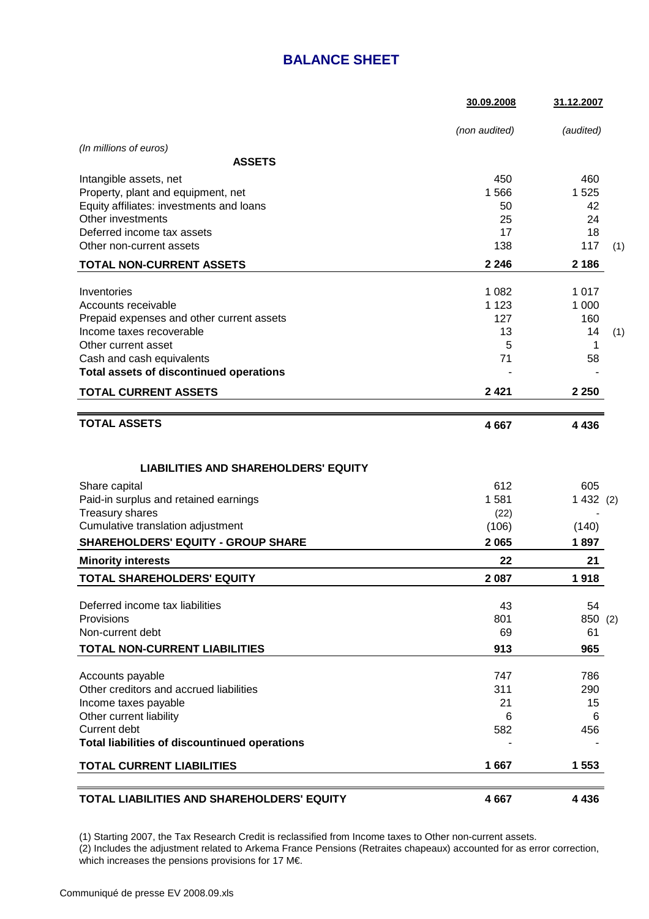# **BALANCE SHEET**

|                                                | 30.09.2008    | 31.12.2007 |     |
|------------------------------------------------|---------------|------------|-----|
|                                                | (non audited) | (audited)  |     |
| (In millions of euros)                         |               |            |     |
| <b>ASSETS</b>                                  |               |            |     |
| Intangible assets, net                         | 450           | 460        |     |
| Property, plant and equipment, net             | 1566          | 1525       |     |
| Equity affiliates: investments and loans       | 50            | 42         |     |
| Other investments                              | 25            | 24         |     |
| Deferred income tax assets                     | 17            | 18         |     |
| Other non-current assets                       | 138           | 117        | (1) |
| <b>TOTAL NON-CURRENT ASSETS</b>                | 2 2 4 6       | 2 1 8 6    |     |
| Inventories                                    | 1 0 8 2       | 1017       |     |
| Accounts receivable                            | 1 1 2 3       | 1 0 0 0    |     |
| Prepaid expenses and other current assets      | 127           | 160        |     |
| Income taxes recoverable                       | 13            | 14         | (1) |
| Other current asset                            | 5             | 1          |     |
| Cash and cash equivalents                      | 71            | 58         |     |
| <b>Total assets of discontinued operations</b> |               |            |     |
| <b>TOTAL CURRENT ASSETS</b>                    | 2421          | 2 2 5 0    |     |
| <b>TOTAL ASSETS</b>                            | 4 6 6 7       | 4 4 3 6    |     |
|                                                |               |            |     |
| <b>LIABILITIES AND SHAREHOLDERS' EQUITY</b>    |               |            |     |
| Share capital                                  | 612           | 605        |     |
| Paid-in surplus and retained earnings          | 1581          | 1432(2)    |     |
| Treasury shares                                | (22)          |            |     |
| Cumulative translation adjustment              | (106)         | (140)      |     |
| <b>SHAREHOLDERS' EQUITY - GROUP SHARE</b>      | 2065          | 1897       |     |
| <b>Minority interests</b>                      | 22            | 21         |     |
| <b>TOTAL SHAREHOLDERS' EQUITY</b>              | 2 0 8 7       | 1918       |     |
| Deferred income tax liabilities                | 43            | 54         |     |
| Provisions                                     | 801           | 850 (2)    |     |
| Non-current debt                               | 69            | 61         |     |
| <b>TOTAL NON-CURRENT LIABILITIES</b>           | 913           | 965        |     |
| Accounts payable                               | 747           | 786        |     |
| Other creditors and accrued liabilities        | 311           | 290        |     |
| Income taxes payable                           | 21            | 15         |     |
| Other current liability                        | 6             | 6          |     |
| Current debt                                   | 582           | 456        |     |
| Total liabilities of discountinued operations  |               |            |     |
| <b>TOTAL CURRENT LIABILITIES</b>               | 1667          | 1 5 5 3    |     |
|                                                |               |            |     |
| TOTAL LIABILITIES AND SHAREHOLDERS' EQUITY     | 4667          | 4 4 3 6    |     |

(1) Starting 2007, the Tax Research Credit is reclassified from Income taxes to Other non-current assets.

(2) Includes the adjustment related to Arkema France Pensions (Retraites chapeaux) accounted for as error correction, which increases the pensions provisions for 17 M€.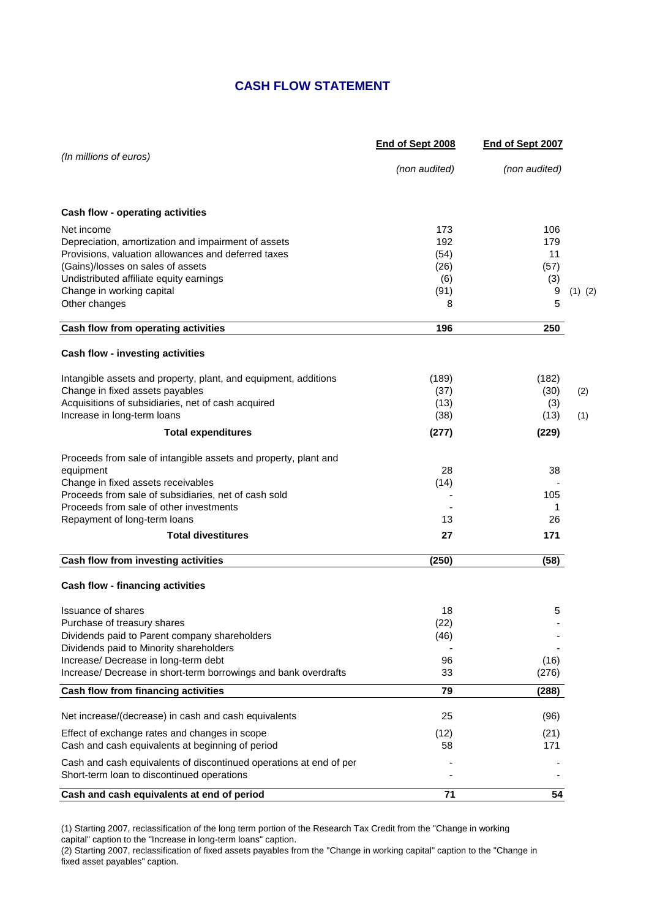# **CASH FLOW STATEMENT**

| (In millions of euros)<br>(non audited)<br>(non audited)<br>Cash flow - operating activities<br>Net income<br>173<br>106<br>192<br>Depreciation, amortization and impairment of assets<br>179<br>Provisions, valuation allowances and deferred taxes<br>(54)<br>11<br>(Gains)/losses on sales of assets<br>(26)<br>(57)<br>Undistributed affiliate equity earnings<br>(6)<br>(3)<br>Change in working capital<br>(91)<br>9<br>$(1)$ $(2)$<br>5<br>Other changes<br>8<br>196<br>250<br>Cash flow from operating activities<br>Cash flow - investing activities<br>Intangible assets and property, plant, and equipment, additions<br>(189)<br>(182)<br>Change in fixed assets payables<br>(37)<br>(30)<br>(2)<br>Acquisitions of subsidiaries, net of cash acquired<br>(13)<br>(3)<br>Increase in long-term loans<br>(38)<br>(13)<br>(1)<br><b>Total expenditures</b><br>(277)<br>(229)<br>Proceeds from sale of intangible assets and property, plant and<br>equipment<br>28<br>38<br>Change in fixed assets receivables<br>(14)<br>Proceeds from sale of subsidiaries, net of cash sold<br>105<br>Proceeds from sale of other investments<br>1<br>13<br>26<br>Repayment of long-term loans<br><b>Total divestitures</b><br>27<br>171<br>Cash flow from investing activities<br>(250)<br>(58)<br><b>Cash flow - financing activities</b><br>18<br><b>Issuance of shares</b><br>5<br>(22)<br>Purchase of treasury shares<br>Dividends paid to Parent company shareholders<br>(46)<br>Dividends paid to Minority shareholders<br>Increase/ Decrease in long-term debt<br>96<br>(16)<br>Increase/ Decrease in short-term borrowings and bank overdrafts<br>33<br>(276)<br>Cash flow from financing activities<br>79<br>(288)<br>Net increase/(decrease) in cash and cash equivalents<br>25<br>(96)<br>Effect of exchange rates and changes in scope<br>(12)<br>(21)<br>Cash and cash equivalents at beginning of period<br>58<br>171<br>Cash and cash equivalents of discontinued operations at end of per<br>Short-term loan to discontinued operations<br>54<br>Cash and cash equivalents at end of period<br>71 | End of Sept 2008 | End of Sept 2007 |  |
|-----------------------------------------------------------------------------------------------------------------------------------------------------------------------------------------------------------------------------------------------------------------------------------------------------------------------------------------------------------------------------------------------------------------------------------------------------------------------------------------------------------------------------------------------------------------------------------------------------------------------------------------------------------------------------------------------------------------------------------------------------------------------------------------------------------------------------------------------------------------------------------------------------------------------------------------------------------------------------------------------------------------------------------------------------------------------------------------------------------------------------------------------------------------------------------------------------------------------------------------------------------------------------------------------------------------------------------------------------------------------------------------------------------------------------------------------------------------------------------------------------------------------------------------------------------------------------------------------------------------------------------------------------------------------------------------------------------------------------------------------------------------------------------------------------------------------------------------------------------------------------------------------------------------------------------------------------------------------------------------------------------------------------------------------------------------------------------------------------------------|------------------|------------------|--|
|                                                                                                                                                                                                                                                                                                                                                                                                                                                                                                                                                                                                                                                                                                                                                                                                                                                                                                                                                                                                                                                                                                                                                                                                                                                                                                                                                                                                                                                                                                                                                                                                                                                                                                                                                                                                                                                                                                                                                                                                                                                                                                                 |                  |                  |  |
|                                                                                                                                                                                                                                                                                                                                                                                                                                                                                                                                                                                                                                                                                                                                                                                                                                                                                                                                                                                                                                                                                                                                                                                                                                                                                                                                                                                                                                                                                                                                                                                                                                                                                                                                                                                                                                                                                                                                                                                                                                                                                                                 |                  |                  |  |
|                                                                                                                                                                                                                                                                                                                                                                                                                                                                                                                                                                                                                                                                                                                                                                                                                                                                                                                                                                                                                                                                                                                                                                                                                                                                                                                                                                                                                                                                                                                                                                                                                                                                                                                                                                                                                                                                                                                                                                                                                                                                                                                 |                  |                  |  |
|                                                                                                                                                                                                                                                                                                                                                                                                                                                                                                                                                                                                                                                                                                                                                                                                                                                                                                                                                                                                                                                                                                                                                                                                                                                                                                                                                                                                                                                                                                                                                                                                                                                                                                                                                                                                                                                                                                                                                                                                                                                                                                                 |                  |                  |  |
|                                                                                                                                                                                                                                                                                                                                                                                                                                                                                                                                                                                                                                                                                                                                                                                                                                                                                                                                                                                                                                                                                                                                                                                                                                                                                                                                                                                                                                                                                                                                                                                                                                                                                                                                                                                                                                                                                                                                                                                                                                                                                                                 |                  |                  |  |
|                                                                                                                                                                                                                                                                                                                                                                                                                                                                                                                                                                                                                                                                                                                                                                                                                                                                                                                                                                                                                                                                                                                                                                                                                                                                                                                                                                                                                                                                                                                                                                                                                                                                                                                                                                                                                                                                                                                                                                                                                                                                                                                 |                  |                  |  |
|                                                                                                                                                                                                                                                                                                                                                                                                                                                                                                                                                                                                                                                                                                                                                                                                                                                                                                                                                                                                                                                                                                                                                                                                                                                                                                                                                                                                                                                                                                                                                                                                                                                                                                                                                                                                                                                                                                                                                                                                                                                                                                                 |                  |                  |  |
|                                                                                                                                                                                                                                                                                                                                                                                                                                                                                                                                                                                                                                                                                                                                                                                                                                                                                                                                                                                                                                                                                                                                                                                                                                                                                                                                                                                                                                                                                                                                                                                                                                                                                                                                                                                                                                                                                                                                                                                                                                                                                                                 |                  |                  |  |
|                                                                                                                                                                                                                                                                                                                                                                                                                                                                                                                                                                                                                                                                                                                                                                                                                                                                                                                                                                                                                                                                                                                                                                                                                                                                                                                                                                                                                                                                                                                                                                                                                                                                                                                                                                                                                                                                                                                                                                                                                                                                                                                 |                  |                  |  |
|                                                                                                                                                                                                                                                                                                                                                                                                                                                                                                                                                                                                                                                                                                                                                                                                                                                                                                                                                                                                                                                                                                                                                                                                                                                                                                                                                                                                                                                                                                                                                                                                                                                                                                                                                                                                                                                                                                                                                                                                                                                                                                                 |                  |                  |  |
|                                                                                                                                                                                                                                                                                                                                                                                                                                                                                                                                                                                                                                                                                                                                                                                                                                                                                                                                                                                                                                                                                                                                                                                                                                                                                                                                                                                                                                                                                                                                                                                                                                                                                                                                                                                                                                                                                                                                                                                                                                                                                                                 |                  |                  |  |
|                                                                                                                                                                                                                                                                                                                                                                                                                                                                                                                                                                                                                                                                                                                                                                                                                                                                                                                                                                                                                                                                                                                                                                                                                                                                                                                                                                                                                                                                                                                                                                                                                                                                                                                                                                                                                                                                                                                                                                                                                                                                                                                 |                  |                  |  |
|                                                                                                                                                                                                                                                                                                                                                                                                                                                                                                                                                                                                                                                                                                                                                                                                                                                                                                                                                                                                                                                                                                                                                                                                                                                                                                                                                                                                                                                                                                                                                                                                                                                                                                                                                                                                                                                                                                                                                                                                                                                                                                                 |                  |                  |  |
|                                                                                                                                                                                                                                                                                                                                                                                                                                                                                                                                                                                                                                                                                                                                                                                                                                                                                                                                                                                                                                                                                                                                                                                                                                                                                                                                                                                                                                                                                                                                                                                                                                                                                                                                                                                                                                                                                                                                                                                                                                                                                                                 |                  |                  |  |
|                                                                                                                                                                                                                                                                                                                                                                                                                                                                                                                                                                                                                                                                                                                                                                                                                                                                                                                                                                                                                                                                                                                                                                                                                                                                                                                                                                                                                                                                                                                                                                                                                                                                                                                                                                                                                                                                                                                                                                                                                                                                                                                 |                  |                  |  |
|                                                                                                                                                                                                                                                                                                                                                                                                                                                                                                                                                                                                                                                                                                                                                                                                                                                                                                                                                                                                                                                                                                                                                                                                                                                                                                                                                                                                                                                                                                                                                                                                                                                                                                                                                                                                                                                                                                                                                                                                                                                                                                                 |                  |                  |  |
|                                                                                                                                                                                                                                                                                                                                                                                                                                                                                                                                                                                                                                                                                                                                                                                                                                                                                                                                                                                                                                                                                                                                                                                                                                                                                                                                                                                                                                                                                                                                                                                                                                                                                                                                                                                                                                                                                                                                                                                                                                                                                                                 |                  |                  |  |
|                                                                                                                                                                                                                                                                                                                                                                                                                                                                                                                                                                                                                                                                                                                                                                                                                                                                                                                                                                                                                                                                                                                                                                                                                                                                                                                                                                                                                                                                                                                                                                                                                                                                                                                                                                                                                                                                                                                                                                                                                                                                                                                 |                  |                  |  |
|                                                                                                                                                                                                                                                                                                                                                                                                                                                                                                                                                                                                                                                                                                                                                                                                                                                                                                                                                                                                                                                                                                                                                                                                                                                                                                                                                                                                                                                                                                                                                                                                                                                                                                                                                                                                                                                                                                                                                                                                                                                                                                                 |                  |                  |  |
|                                                                                                                                                                                                                                                                                                                                                                                                                                                                                                                                                                                                                                                                                                                                                                                                                                                                                                                                                                                                                                                                                                                                                                                                                                                                                                                                                                                                                                                                                                                                                                                                                                                                                                                                                                                                                                                                                                                                                                                                                                                                                                                 |                  |                  |  |
|                                                                                                                                                                                                                                                                                                                                                                                                                                                                                                                                                                                                                                                                                                                                                                                                                                                                                                                                                                                                                                                                                                                                                                                                                                                                                                                                                                                                                                                                                                                                                                                                                                                                                                                                                                                                                                                                                                                                                                                                                                                                                                                 |                  |                  |  |
|                                                                                                                                                                                                                                                                                                                                                                                                                                                                                                                                                                                                                                                                                                                                                                                                                                                                                                                                                                                                                                                                                                                                                                                                                                                                                                                                                                                                                                                                                                                                                                                                                                                                                                                                                                                                                                                                                                                                                                                                                                                                                                                 |                  |                  |  |
|                                                                                                                                                                                                                                                                                                                                                                                                                                                                                                                                                                                                                                                                                                                                                                                                                                                                                                                                                                                                                                                                                                                                                                                                                                                                                                                                                                                                                                                                                                                                                                                                                                                                                                                                                                                                                                                                                                                                                                                                                                                                                                                 |                  |                  |  |
|                                                                                                                                                                                                                                                                                                                                                                                                                                                                                                                                                                                                                                                                                                                                                                                                                                                                                                                                                                                                                                                                                                                                                                                                                                                                                                                                                                                                                                                                                                                                                                                                                                                                                                                                                                                                                                                                                                                                                                                                                                                                                                                 |                  |                  |  |
|                                                                                                                                                                                                                                                                                                                                                                                                                                                                                                                                                                                                                                                                                                                                                                                                                                                                                                                                                                                                                                                                                                                                                                                                                                                                                                                                                                                                                                                                                                                                                                                                                                                                                                                                                                                                                                                                                                                                                                                                                                                                                                                 |                  |                  |  |
|                                                                                                                                                                                                                                                                                                                                                                                                                                                                                                                                                                                                                                                                                                                                                                                                                                                                                                                                                                                                                                                                                                                                                                                                                                                                                                                                                                                                                                                                                                                                                                                                                                                                                                                                                                                                                                                                                                                                                                                                                                                                                                                 |                  |                  |  |
|                                                                                                                                                                                                                                                                                                                                                                                                                                                                                                                                                                                                                                                                                                                                                                                                                                                                                                                                                                                                                                                                                                                                                                                                                                                                                                                                                                                                                                                                                                                                                                                                                                                                                                                                                                                                                                                                                                                                                                                                                                                                                                                 |                  |                  |  |
|                                                                                                                                                                                                                                                                                                                                                                                                                                                                                                                                                                                                                                                                                                                                                                                                                                                                                                                                                                                                                                                                                                                                                                                                                                                                                                                                                                                                                                                                                                                                                                                                                                                                                                                                                                                                                                                                                                                                                                                                                                                                                                                 |                  |                  |  |
|                                                                                                                                                                                                                                                                                                                                                                                                                                                                                                                                                                                                                                                                                                                                                                                                                                                                                                                                                                                                                                                                                                                                                                                                                                                                                                                                                                                                                                                                                                                                                                                                                                                                                                                                                                                                                                                                                                                                                                                                                                                                                                                 |                  |                  |  |
|                                                                                                                                                                                                                                                                                                                                                                                                                                                                                                                                                                                                                                                                                                                                                                                                                                                                                                                                                                                                                                                                                                                                                                                                                                                                                                                                                                                                                                                                                                                                                                                                                                                                                                                                                                                                                                                                                                                                                                                                                                                                                                                 |                  |                  |  |
|                                                                                                                                                                                                                                                                                                                                                                                                                                                                                                                                                                                                                                                                                                                                                                                                                                                                                                                                                                                                                                                                                                                                                                                                                                                                                                                                                                                                                                                                                                                                                                                                                                                                                                                                                                                                                                                                                                                                                                                                                                                                                                                 |                  |                  |  |
|                                                                                                                                                                                                                                                                                                                                                                                                                                                                                                                                                                                                                                                                                                                                                                                                                                                                                                                                                                                                                                                                                                                                                                                                                                                                                                                                                                                                                                                                                                                                                                                                                                                                                                                                                                                                                                                                                                                                                                                                                                                                                                                 |                  |                  |  |
|                                                                                                                                                                                                                                                                                                                                                                                                                                                                                                                                                                                                                                                                                                                                                                                                                                                                                                                                                                                                                                                                                                                                                                                                                                                                                                                                                                                                                                                                                                                                                                                                                                                                                                                                                                                                                                                                                                                                                                                                                                                                                                                 |                  |                  |  |
|                                                                                                                                                                                                                                                                                                                                                                                                                                                                                                                                                                                                                                                                                                                                                                                                                                                                                                                                                                                                                                                                                                                                                                                                                                                                                                                                                                                                                                                                                                                                                                                                                                                                                                                                                                                                                                                                                                                                                                                                                                                                                                                 |                  |                  |  |

(1) Starting 2007, reclassification of the long term portion of the Research Tax Credit from the "Change in working capital" caption to the "Increase in long-term loans" caption.

(2) Starting 2007, reclassification of fixed assets payables from the "Change in working capital" caption to the "Change in fixed asset payables" caption.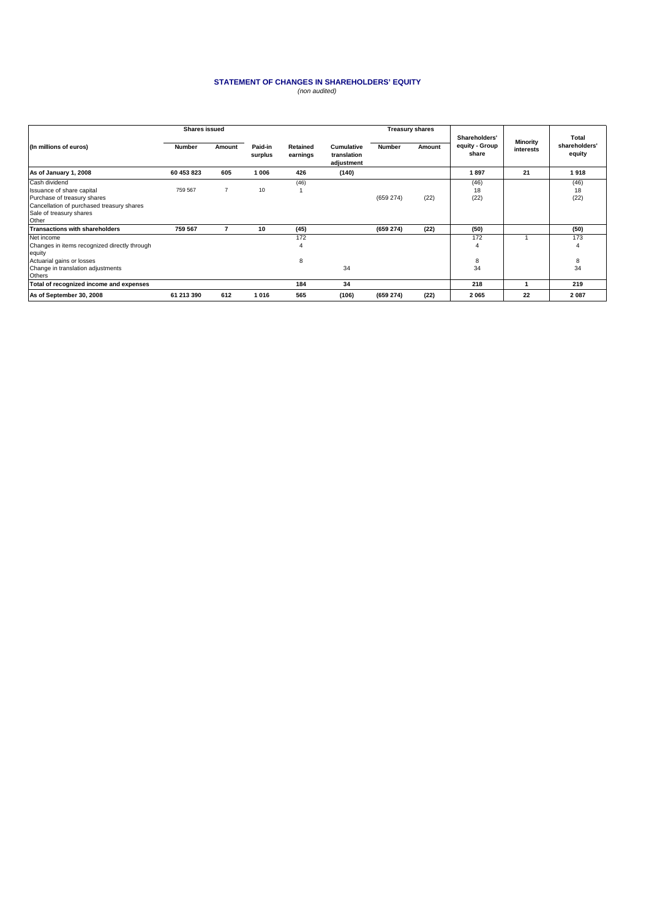### **STATEMENT OF CHANGES IN SHAREHOLDERS' EQUITY** (non audited)

|                                              | <b>Shares issued</b> |                |                    |                      | <b>Treasury shares</b>                  |               |        |                                          |                       |                                  |
|----------------------------------------------|----------------------|----------------|--------------------|----------------------|-----------------------------------------|---------------|--------|------------------------------------------|-----------------------|----------------------------------|
| (In millions of euros)                       | Number               | Amount         | Paid-in<br>surplus | Retained<br>earnings | Cumulative<br>translation<br>adjustment | <b>Number</b> | Amount | Shareholders'<br>equity - Group<br>share | Minority<br>interests | Total<br>shareholders'<br>equity |
| As of January 1, 2008                        | 60 453 823           | 605            | 1 006              | 426                  | (140)                                   |               |        | 1897                                     | 21                    | 1918                             |
| Cash dividend                                |                      |                |                    | (46)                 |                                         |               |        | (46)                                     |                       | (46)                             |
| Issuance of share capital                    | 759 567              | $\overline{7}$ | 10                 |                      |                                         |               |        | 18                                       |                       | 18                               |
| Purchase of treasury shares                  |                      |                |                    |                      |                                         | (659 274)     | (22)   | (22)                                     |                       | (22)                             |
| Cancellation of purchased treasury shares    |                      |                |                    |                      |                                         |               |        |                                          |                       |                                  |
| Sale of treasury shares                      |                      |                |                    |                      |                                         |               |        |                                          |                       |                                  |
| Other                                        |                      |                |                    |                      |                                         |               |        |                                          |                       |                                  |
| <b>Transactions with shareholders</b>        | 759 567              | 7              | 10                 | (45)                 |                                         | (659 274)     | (22)   | (50)                                     |                       | (50)                             |
| Net income                                   |                      |                |                    | 172                  |                                         |               |        | 172                                      |                       | 173                              |
| Changes in items recognized directly through |                      |                |                    | $\overline{4}$       |                                         |               |        | $\overline{4}$                           |                       | $\overline{4}$                   |
| equity                                       |                      |                |                    |                      |                                         |               |        |                                          |                       |                                  |
| Actuarial gains or losses                    |                      |                |                    | 8                    |                                         |               |        | 8                                        |                       | 8                                |
| Change in translation adjustments            |                      |                |                    |                      | 34                                      |               |        | 34                                       |                       | 34                               |
| Others                                       |                      |                |                    |                      |                                         |               |        |                                          |                       |                                  |
| Total of recognized income and expenses      |                      |                |                    | 184                  | 34                                      |               |        | 218                                      |                       | 219                              |
| As of September 30, 2008                     | 61 213 390           | 612            | 1016               | 565                  | (106)                                   | (659 274)     | (22)   | 2065                                     | 22                    | 2 0 8 7                          |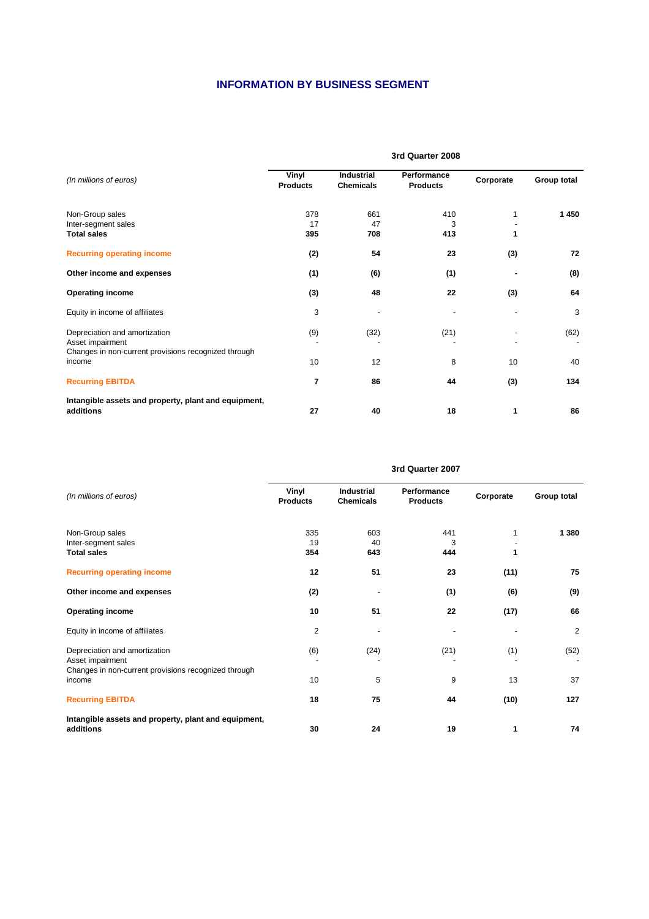# **INFORMATION BY BUSINESS SEGMENT**

|                                                                                                           | 3rd Quarter 2008         |                                       |                                |           |             |  |  |
|-----------------------------------------------------------------------------------------------------------|--------------------------|---------------------------------------|--------------------------------|-----------|-------------|--|--|
| (In millions of euros)                                                                                    | Vinyl<br><b>Products</b> | <b>Industrial</b><br><b>Chemicals</b> | Performance<br><b>Products</b> | Corporate | Group total |  |  |
| Non-Group sales<br>Inter-segment sales<br><b>Total sales</b>                                              | 378<br>17<br>395         | 661<br>47<br>708                      | 410<br>3<br>413                | 1         | 1450        |  |  |
| <b>Recurring operating income</b>                                                                         | (2)                      | 54                                    | 23                             | (3)       | 72          |  |  |
| Other income and expenses                                                                                 | (1)                      | (6)                                   | (1)                            |           | (8)         |  |  |
| <b>Operating income</b>                                                                                   | (3)                      | 48                                    | 22                             | (3)       | 64          |  |  |
| Equity in income of affiliates                                                                            | 3                        |                                       |                                |           | 3           |  |  |
| Depreciation and amortization<br>Asset impairment<br>Changes in non-current provisions recognized through | (9)                      | (32)                                  | (21)                           |           | (62)        |  |  |
| income                                                                                                    | 10                       | 12                                    | 8                              | 10        | 40          |  |  |
| <b>Recurring EBITDA</b>                                                                                   | $\overline{7}$           | 86                                    | 44                             | (3)       | 134         |  |  |
| Intangible assets and property, plant and equipment,<br>additions                                         | 27                       | 40                                    | 18                             | 1         | 86          |  |  |

|                                                                                                           | waaroo soor              |                                |                                |           |             |  |  |
|-----------------------------------------------------------------------------------------------------------|--------------------------|--------------------------------|--------------------------------|-----------|-------------|--|--|
| (In millions of euros)                                                                                    | Vinyl<br><b>Products</b> | Industrial<br><b>Chemicals</b> | Performance<br><b>Products</b> | Corporate | Group total |  |  |
| Non-Group sales<br>Inter-segment sales<br><b>Total sales</b>                                              | 335<br>19<br>354         | 603<br>40<br>643               | 441<br>3<br>444                | 1         | 1 3 8 0     |  |  |
| <b>Recurring operating income</b>                                                                         | 12                       | 51                             | 23                             | (11)      | 75          |  |  |
| Other income and expenses                                                                                 | (2)                      |                                | (1)                            | (6)       | (9)         |  |  |
| <b>Operating income</b>                                                                                   | 10                       | 51                             | 22                             | (17)      | 66          |  |  |
| Equity in income of affiliates                                                                            | $\overline{2}$           |                                |                                |           | 2           |  |  |
| Depreciation and amortization<br>Asset impairment<br>Changes in non-current provisions recognized through | (6)                      | (24)                           | (21)                           | (1)       | (52)        |  |  |
| income                                                                                                    | 10                       | 5                              | 9                              | 13        | 37          |  |  |
| <b>Recurring EBITDA</b>                                                                                   | 18                       | 75                             | 44                             | (10)      | 127         |  |  |
| Intangible assets and property, plant and equipment,<br>additions                                         | 30                       | 24                             | 19                             | 1         | 74          |  |  |

### **3rd Quarter 2007**